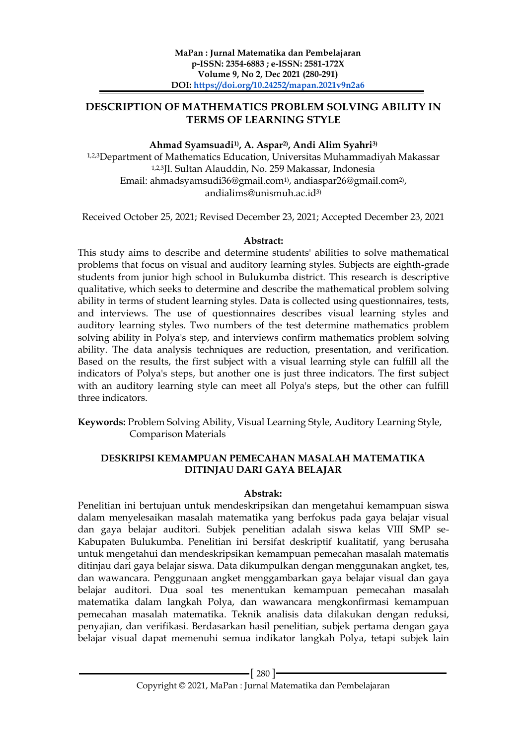# **DESCRIPTION OF MATHEMATICS PROBLEM SOLVING ABILITY IN TERMS OF LEARNING STYLE**

# **Ahmad Syamsuadi1) , A. Aspar2) , Andi Alim Syahri3)**

1,2,3Department of Mathematics Education, Universitas Muhammadiyah Makassar 1,2,3Jl. Sultan Alauddin, No. 259 Makassar, Indonesia Email: ahmadsyamsudi36@gmail.com1) , andiaspar26@gmail.com2) , andialims@unismuh.ac.id3)

Received October 25, 2021; Revised December 23, 2021; Accepted December 23, 2021

## **Abstract:**

This study aims to describe and determine students' abilities to solve mathematical problems that focus on visual and auditory learning styles. Subjects are eighth-grade students from junior high school in Bulukumba district. This research is descriptive qualitative, which seeks to determine and describe the mathematical problem solving ability in terms of student learning styles. Data is collected using questionnaires, tests, and interviews. The use of questionnaires describes visual learning styles and auditory learning styles. Two numbers of the test determine mathematics problem solving ability in Polya's step, and interviews confirm mathematics problem solving ability. The data analysis techniques are reduction, presentation, and verification. Based on the results, the first subject with a visual learning style can fulfill all the indicators of Polya's steps, but another one is just three indicators. The first subject with an auditory learning style can meet all Polya's steps, but the other can fulfill three indicators.

**Keywords:** Problem Solving Ability, Visual Learning Style, Auditory Learning Style, Comparison Materials

## **DESKRIPSI KEMAMPUAN PEMECAHAN MASALAH MATEMATIKA DITINJAU DARI GAYA BELAJAR**

## **Abstrak:**

Penelitian ini bertujuan untuk mendeskripsikan dan mengetahui kemampuan siswa dalam menyelesaikan masalah matematika yang berfokus pada gaya belajar visual dan gaya belajar auditori. Subjek penelitian adalah siswa kelas VIII SMP se-Kabupaten Bulukumba. Penelitian ini bersifat deskriptif kualitatif, yang berusaha untuk mengetahui dan mendeskripsikan kemampuan pemecahan masalah matematis ditinjau dari gaya belajar siswa. Data dikumpulkan dengan menggunakan angket, tes, dan wawancara. Penggunaan angket menggambarkan gaya belajar visual dan gaya belajar auditori. Dua soal tes menentukan kemampuan pemecahan masalah matematika dalam langkah Polya, dan wawancara mengkonfirmasi kemampuan pemecahan masalah matematika. Teknik analisis data dilakukan dengan reduksi, penyajian, dan verifikasi. Berdasarkan hasil penelitian, subjek pertama dengan gaya belajar visual dapat memenuhi semua indikator langkah Polya, tetapi subjek lain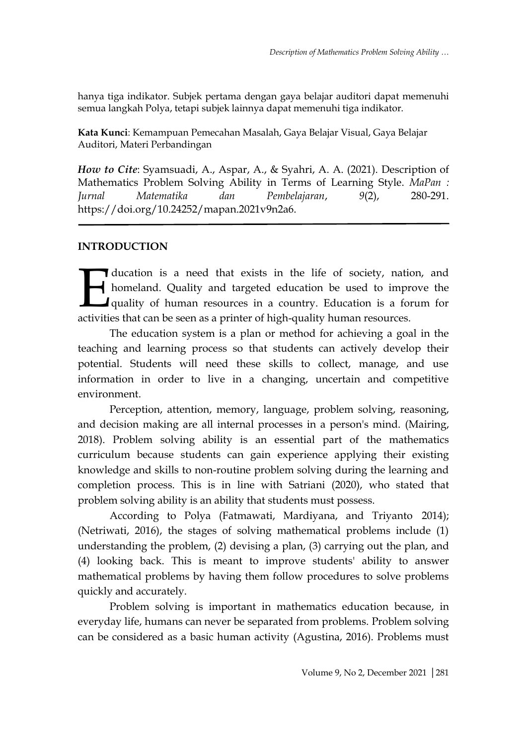hanya tiga indikator. Subjek pertama dengan gaya belajar auditori dapat memenuhi semua langkah Polya, tetapi subjek lainnya dapat memenuhi tiga indikator.

**Kata Kunci**: Kemampuan Pemecahan Masalah, Gaya Belajar Visual, Gaya Belajar Auditori, Materi Perbandingan

*How to Cite*: Syamsuadi, A., Aspar, A., & Syahri, A. A. (2021). Description of Mathematics Problem Solving Ability in Terms of Learning Style. *MaPan : Jurnal Matematika dan Pembelajaran*, *9*(2), 280-291. https://doi.org/10.24252/mapan.2021v9n2a6.

# **INTRODUCTION**

ducation is a need that exists in the life of society, nation, and homeland. Quality and targeted education be used to improve the quality of human resources in a country. Education is a forum for activities that can be seen as a printer of high-quality human resources.<br>
A homeland. Quality and targeted education be used to impropendity of human resources in a country. Education is a formativities that can be seen a

The education system is a plan or method for achieving a goal in the teaching and learning process so that students can actively develop their potential. Students will need these skills to collect, manage, and use information in order to live in a changing, uncertain and competitive environment.

Perception, attention, memory, language, problem solving, reasoning, and decision making are all internal processes in a person's mind. (Mairing, 2018). Problem solving ability is an essential part of the mathematics curriculum because students can gain experience applying their existing knowledge and skills to non-routine problem solving during the learning and completion process. This is in line with Satriani (2020), who stated that problem solving ability is an ability that students must possess.

According to Polya (Fatmawati, Mardiyana, and Triyanto 2014); (Netriwati, 2016), the stages of solving mathematical problems include (1) understanding the problem, (2) devising a plan, (3) carrying out the plan, and (4) looking back. This is meant to improve students' ability to answer mathematical problems by having them follow procedures to solve problems quickly and accurately.

Problem solving is important in mathematics education because, in everyday life, humans can never be separated from problems. Problem solving can be considered as a basic human activity (Agustina, 2016). Problems must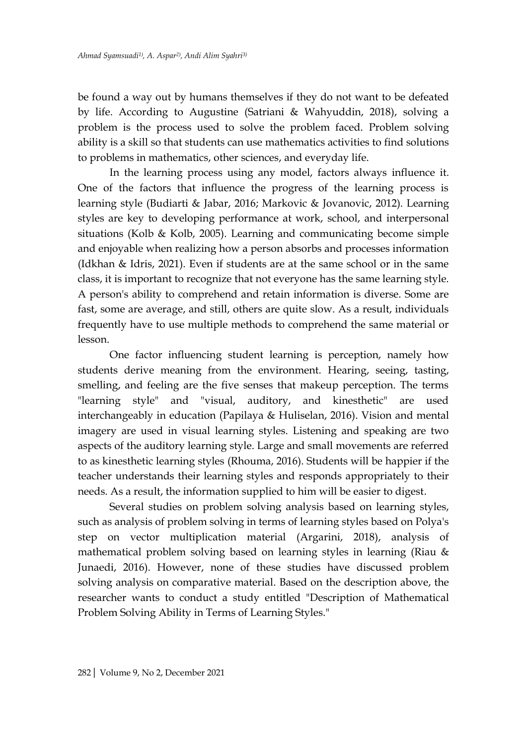be found a way out by humans themselves if they do not want to be defeated by life. According to Augustine (Satriani & Wahyuddin, 2018), solving a problem is the process used to solve the problem faced. Problem solving ability is a skill so that students can use mathematics activities to find solutions to problems in mathematics, other sciences, and everyday life.

In the learning process using any model, factors always influence it. One of the factors that influence the progress of the learning process is learning style (Budiarti & Jabar, 2016; Markovic & Jovanovic, 2012). Learning styles are key to developing performance at work, school, and interpersonal situations (Kolb & Kolb, 2005). Learning and communicating become simple and enjoyable when realizing how a person absorbs and processes information (Idkhan & Idris, 2021). Even if students are at the same school or in the same class, it is important to recognize that not everyone has the same learning style. A person's ability to comprehend and retain information is diverse. Some are fast, some are average, and still, others are quite slow. As a result, individuals frequently have to use multiple methods to comprehend the same material or lesson.

One factor influencing student learning is perception, namely how students derive meaning from the environment. Hearing, seeing, tasting, smelling, and feeling are the five senses that makeup perception. The terms "learning style" and "visual, auditory, and kinesthetic" are used interchangeably in education (Papilaya & Huliselan, 2016). Vision and mental imagery are used in visual learning styles. Listening and speaking are two aspects of the auditory learning style. Large and small movements are referred to as kinesthetic learning styles (Rhouma, 2016). Students will be happier if the teacher understands their learning styles and responds appropriately to their needs. As a result, the information supplied to him will be easier to digest.

Several studies on problem solving analysis based on learning styles, such as analysis of problem solving in terms of learning styles based on Polya's step on vector multiplication material (Argarini, 2018), analysis of mathematical problem solving based on learning styles in learning (Riau & Junaedi, 2016). However, none of these studies have discussed problem solving analysis on comparative material. Based on the description above, the researcher wants to conduct a study entitled "Description of Mathematical Problem Solving Ability in Terms of Learning Styles."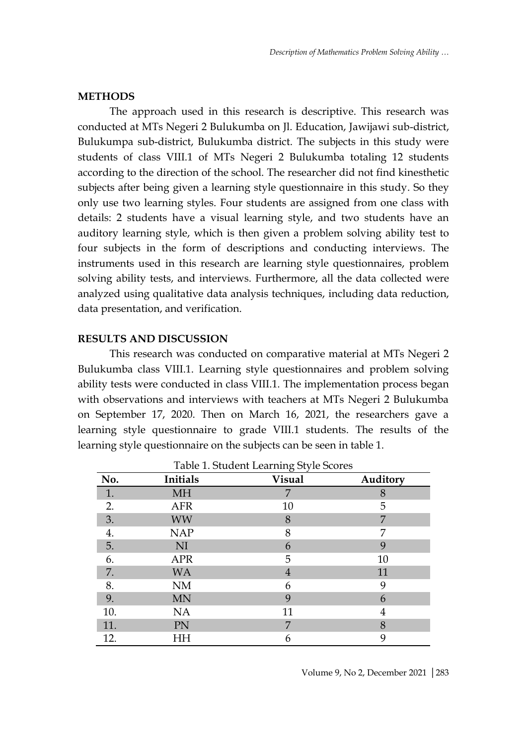#### **METHODS**

The approach used in this research is descriptive. This research was conducted at MTs Negeri 2 Bulukumba on Jl. Education, Jawijawi sub-district, Bulukumpa sub-district, Bulukumba district. The subjects in this study were students of class VIII.1 of MTs Negeri 2 Bulukumba totaling 12 students according to the direction of the school. The researcher did not find kinesthetic subjects after being given a learning style questionnaire in this study. So they only use two learning styles. Four students are assigned from one class with details: 2 students have a visual learning style, and two students have an auditory learning style, which is then given a problem solving ability test to four subjects in the form of descriptions and conducting interviews. The instruments used in this research are learning style questionnaires, problem solving ability tests, and interviews. Furthermore, all the data collected were analyzed using qualitative data analysis techniques, including data reduction, data presentation, and verification.

## **RESULTS AND DISCUSSION**

This research was conducted on comparative material at MTs Negeri 2 Bulukumba class VIII.1. Learning style questionnaires and problem solving ability tests were conducted in class VIII.1. The implementation process began with observations and interviews with teachers at MTs Negeri 2 Bulukumba on September 17, 2020. Then on March 16, 2021, the researchers gave a learning style questionnaire to grade VIII.1 students. The results of the learning style questionnaire on the subjects can be seen in table 1.

| No. | Initials   | <b>Visual</b> | Auditory |
|-----|------------|---------------|----------|
| 1.  | <b>MH</b>  | 7             | 8        |
| 2.  | <b>AFR</b> | 10            | 5        |
| 3.  | <b>WW</b>  | 8             | 7        |
| 4.  | <b>NAP</b> | 8             | 7        |
| 5.  | NI         | 6             | 9        |
| 6.  | <b>APR</b> | 5             | 10       |
| 7.  | <b>WA</b>  | 4             | 11       |
| 8.  | <b>NM</b>  | 6             | 9        |
| 9.  | <b>MN</b>  | 9             | 6        |
| 10. | NA         | 11            | 4        |
| 11. | PN         | 7             | 8        |
| 12. | ΗH         | 6             | 9        |

Table 1. Student Learning Style Scores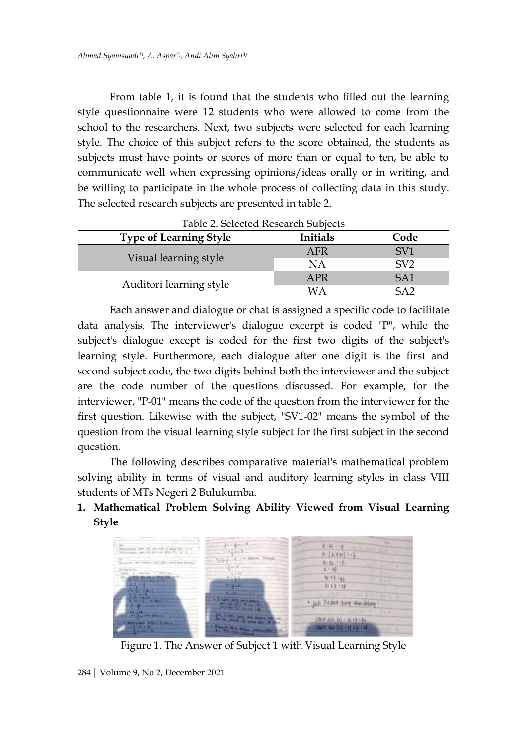From table 1, it is found that the students who filled out the learning style questionnaire were 12 students who were allowed to come from the school to the researchers. Next, two subjects were selected for each learning style. The choice of this subject refers to the score obtained, the students as subjects must have points or scores of more than or equal to ten, be able to communicate well when expressing opinions/ideas orally or in writing, and be willing to participate in the whole process of collecting data in this study. The selected research subjects are presented in table 2.

| Table 2. Selected Research Subjects |           |                 |  |  |
|-------------------------------------|-----------|-----------------|--|--|
| <b>Type of Learning Style</b>       | Initials  | Code            |  |  |
|                                     | AFR       | SV <sub>1</sub> |  |  |
| Visual learning style               | <b>NA</b> | SV <sub>2</sub> |  |  |
|                                     | APR       | SA <sub>1</sub> |  |  |
| Auditori learning style             | WА        | SA <sub>2</sub> |  |  |

Each answer and dialogue or chat is assigned a specific code to facilitate data analysis. The interviewer's dialogue excerpt is coded "P", while the subject's dialogue except is coded for the first two digits of the subject's learning style. Furthermore, each dialogue after one digit is the first and second subject code, the two digits behind both the interviewer and the subject are the code number of the questions discussed. For example, for the interviewer, "P-01" means the code of the question from the interviewer for the first question. Likewise with the subject, "SV1-02" means the symbol of the question from the visual learning style subject for the first subject in the second question.

The following describes comparative material's mathematical problem solving ability in terms of visual and auditory learning styles in class VIII students of MTs Negeri 2 Bulukumba.

# **1. Mathematical Problem Solving Ability Viewed from Visual Learning Style**



Figure 1. The Answer of Subject 1 with Visual Learning Style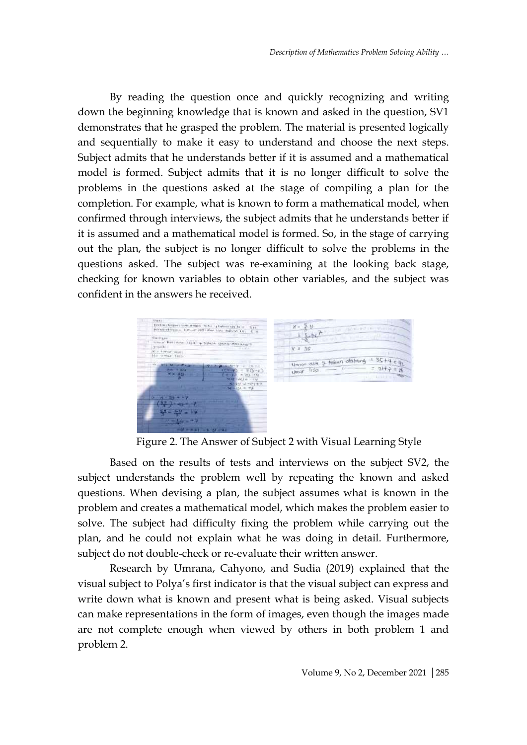By reading the question once and quickly recognizing and writing down the beginning knowledge that is known and asked in the question, SV1 demonstrates that he grasped the problem. The material is presented logically and sequentially to make it easy to understand and choose the next steps. Subject admits that he understands better if it is assumed and a mathematical model is formed. Subject admits that it is no longer difficult to solve the problems in the questions asked at the stage of compiling a plan for the completion. For example, what is known to form a mathematical model, when confirmed through interviews, the subject admits that he understands better if it is assumed and a mathematical model is formed. So, in the stage of carrying out the plan, the subject is no longer difficult to solve the problems in the questions asked. The subject was re-examining at the looking back stage, checking for known variables to obtain other variables, and the subject was confident in the answers he received.



Figure 2. The Answer of Subject 2 with Visual Learning Style

Based on the results of tests and interviews on the subject SV2, the subject understands the problem well by repeating the known and asked questions. When devising a plan, the subject assumes what is known in the problem and creates a mathematical model, which makes the problem easier to solve. The subject had difficulty fixing the problem while carrying out the plan, and he could not explain what he was doing in detail. Furthermore, subject do not double-check or re-evaluate their written answer.

Research by Umrana, Cahyono, and Sudia (2019) explained that the visual subject to Polya's first indicator is that the visual subject can express and write down what is known and present what is being asked. Visual subjects can make representations in the form of images, even though the images made are not complete enough when viewed by others in both problem 1 and problem 2.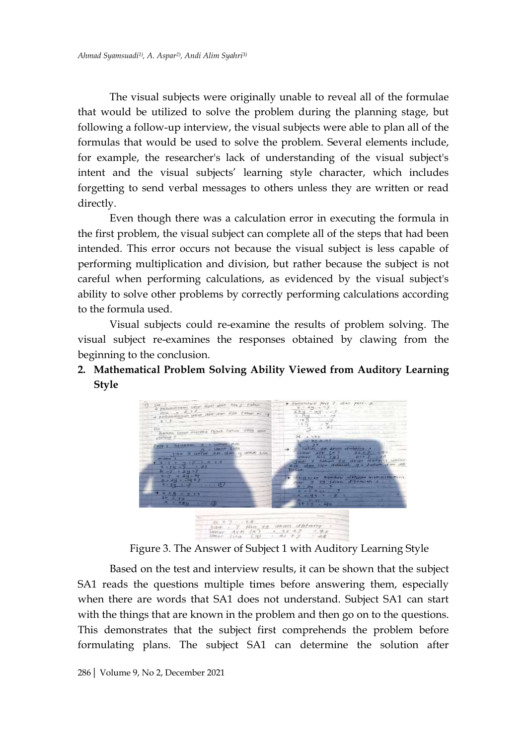The visual subjects were originally unable to reveal all of the formulae that would be utilized to solve the problem during the planning stage, but following a follow-up interview, the visual subjects were able to plan all of the formulas that would be used to solve the problem. Several elements include, for example, the researcher's lack of understanding of the visual subject's intent and the visual subjects' learning style character, which includes forgetting to send verbal messages to others unless they are written or read directly.

Even though there was a calculation error in executing the formula in the first problem, the visual subject can complete all of the steps that had been intended. This error occurs not because the visual subject is less capable of performing multiplication and division, but rather because the subject is not careful when performing calculations, as evidenced by the visual subject's ability to solve other problems by correctly performing calculations according to the formula used.

Visual subjects could re-examine the results of problem solving. The visual subject re-examines the responses obtained by clawing from the beginning to the conclusion.

**2. Mathematical Problem Solving Ability Viewed from Auditory Learning Style**



Figure 3. The Answer of Subject 1 with Auditory Learning Style

Based on the test and interview results, it can be shown that the subject SA1 reads the questions multiple times before answering them, especially when there are words that SA1 does not understand. Subject SA1 can start with the things that are known in the problem and then go on to the questions. This demonstrates that the subject first comprehends the problem before formulating plans. The subject SA1 can determine the solution after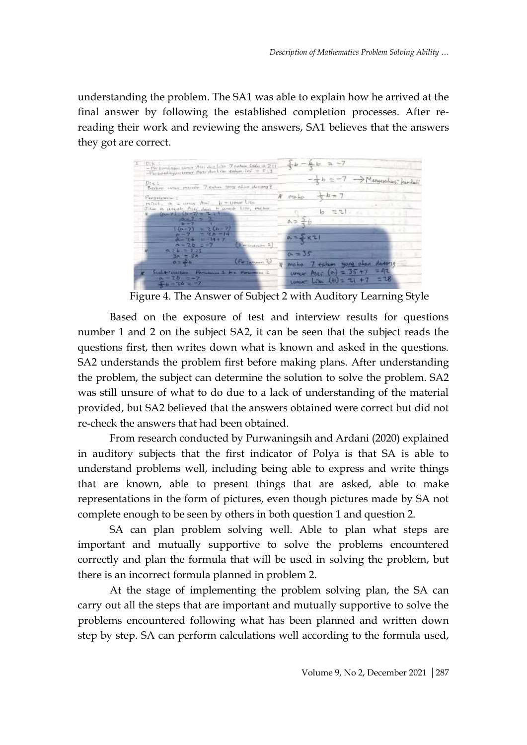understanding the problem. The SA1 was able to explain how he arrived at the final answer by following the established completion processes. After rereading their work and reviewing the answers, SA1 believes that the answers they got are correct.



Figure 4. The Answer of Subject 2 with Auditory Learning Style

Based on the exposure of test and interview results for questions number 1 and 2 on the subject SA2, it can be seen that the subject reads the questions first, then writes down what is known and asked in the questions. SA2 understands the problem first before making plans. After understanding the problem, the subject can determine the solution to solve the problem. SA2 was still unsure of what to do due to a lack of understanding of the material provided, but SA2 believed that the answers obtained were correct but did not re-check the answers that had been obtained.

From research conducted by Purwaningsih and Ardani (2020) explained in auditory subjects that the first indicator of Polya is that SA is able to understand problems well, including being able to express and write things that are known, able to present things that are asked, able to make representations in the form of pictures, even though pictures made by SA not complete enough to be seen by others in both question 1 and question 2.

SA can plan problem solving well. Able to plan what steps are important and mutually supportive to solve the problems encountered correctly and plan the formula that will be used in solving the problem, but there is an incorrect formula planned in problem 2.

At the stage of implementing the problem solving plan, the SA can carry out all the steps that are important and mutually supportive to solve the problems encountered following what has been planned and written down step by step. SA can perform calculations well according to the formula used,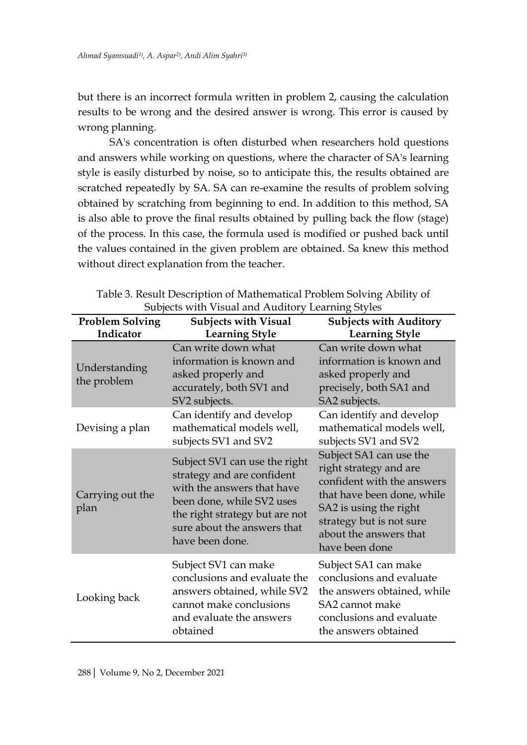but there is an incorrect formula written in problem 2, causing the calculation results to be wrong and the desired answer is wrong. This error is caused by wrong planning.

SA's concentration is often disturbed when researchers hold questions and answers while working on questions, where the character of SA's learning style is easily disturbed by noise, so to anticipate this, the results obtained are scratched repeatedly by SA. SA can re-examine the results of problem solving obtained by scratching from beginning to end. In addition to this method, SA is also able to prove the final results obtained by pulling back the flow (stage) of the process. In this case, the formula used is modified or pushed back until the values contained in the given problem are obtained. Sa knew this method without direct explanation from the teacher.

| <b>Problem Solving</b>       | <b>Subjects with Visual</b>                                                                                                                                                                                | <b>Subjects with Auditory</b>                                                                                                                                                                                   |
|------------------------------|------------------------------------------------------------------------------------------------------------------------------------------------------------------------------------------------------------|-----------------------------------------------------------------------------------------------------------------------------------------------------------------------------------------------------------------|
| Indicator                    | <b>Learning Style</b>                                                                                                                                                                                      | <b>Learning Style</b>                                                                                                                                                                                           |
| Understanding<br>the problem | Can write down what<br>information is known and<br>asked properly and<br>accurately, both SV1 and<br>SV2 subjects.                                                                                         | Can write down what<br>information is known and<br>asked properly and<br>precisely, both SA1 and<br>SA2 subjects.                                                                                               |
| Devising a plan              | Can identify and develop<br>mathematical models well,<br>subjects SV1 and SV2                                                                                                                              | Can identify and develop<br>mathematical models well,<br>subjects SV1 and SV2                                                                                                                                   |
| Carrying out the<br>plan     | Subject SV1 can use the right<br>strategy and are confident<br>with the answers that have<br>been done, while SV2 uses<br>the right strategy but are not<br>sure about the answers that<br>have been done. | Subject SA1 can use the<br>right strategy and are<br>confident with the answers<br>that have been done, while<br>SA2 is using the right<br>strategy but is not sure<br>about the answers that<br>have been done |
| Looking back                 | Subject SV1 can make<br>conclusions and evaluate the<br>answers obtained, while SV2<br>cannot make conclusions<br>and evaluate the answers<br>obtained                                                     | Subject SA1 can make<br>conclusions and evaluate<br>the answers obtained, while<br>SA2 cannot make<br>conclusions and evaluate<br>the answers obtained                                                          |

Table 3. Result Description of Mathematical Problem Solving Ability of Subjects with Visual and Auditory Learning Styles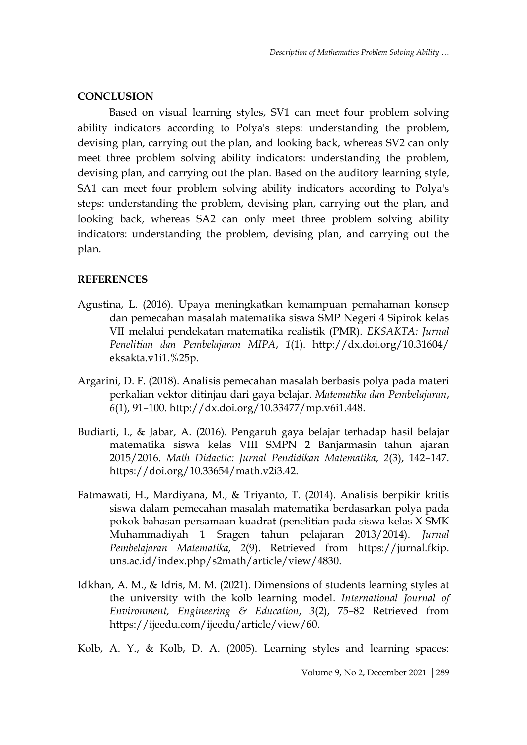## **CONCLUSION**

Based on visual learning styles, SV1 can meet four problem solving ability indicators according to Polya's steps: understanding the problem, devising plan, carrying out the plan, and looking back, whereas SV2 can only meet three problem solving ability indicators: understanding the problem, devising plan, and carrying out the plan. Based on the auditory learning style, SA1 can meet four problem solving ability indicators according to Polya's steps: understanding the problem, devising plan, carrying out the plan, and looking back, whereas SA2 can only meet three problem solving ability indicators: understanding the problem, devising plan, and carrying out the plan.

## **REFERENCES**

- Agustina, L. (2016). Upaya meningkatkan kemampuan pemahaman konsep dan pemecahan masalah matematika siswa SMP Negeri 4 Sipirok kelas VII melalui pendekatan matematika realistik (PMR). *EKSAKTA: Jurnal Penelitian dan Pembelajaran MIPA*, *1*(1). http://dx.doi.org/10.31604/ eksakta.v1i1.%25p.
- Argarini, D. F. (2018). Analisis pemecahan masalah berbasis polya pada materi perkalian vektor ditinjau dari gaya belajar. *Matematika dan Pembelajaran*, *6*(1), 91–100. http://dx.doi.org/10.33477/mp.v6i1.448.
- Budiarti, I., & Jabar, A. (2016). Pengaruh gaya belajar terhadap hasil belajar matematika siswa kelas VIII SMPN 2 Banjarmasin tahun ajaran 2015/2016. *Math Didactic: Jurnal Pendidikan Matematika*, *2*(3), 142–147. https://doi.org/10.33654/math.v2i3.42.
- Fatmawati, H., Mardiyana, M., & Triyanto, T. (2014). Analisis berpikir kritis siswa dalam pemecahan masalah matematika berdasarkan polya pada pokok bahasan persamaan kuadrat (penelitian pada siswa kelas X SMK Muhammadiyah 1 Sragen tahun pelajaran 2013/2014). *Jurnal Pembelajaran Matematika*, *2*(9). Retrieved from https://jurnal.fkip. uns.ac.id/index.php/s2math/article/view/4830.
- Idkhan, A. M., & Idris, M. M. (2021). Dimensions of students learning styles at the university with the kolb learning model. *International Journal of Environment, Engineering & Education*, *3*(2), 75–82 Retrieved from https://ijeedu.com/ijeedu/article/view/60.

Kolb, A. Y., & Kolb, D. A. (2005). Learning styles and learning spaces: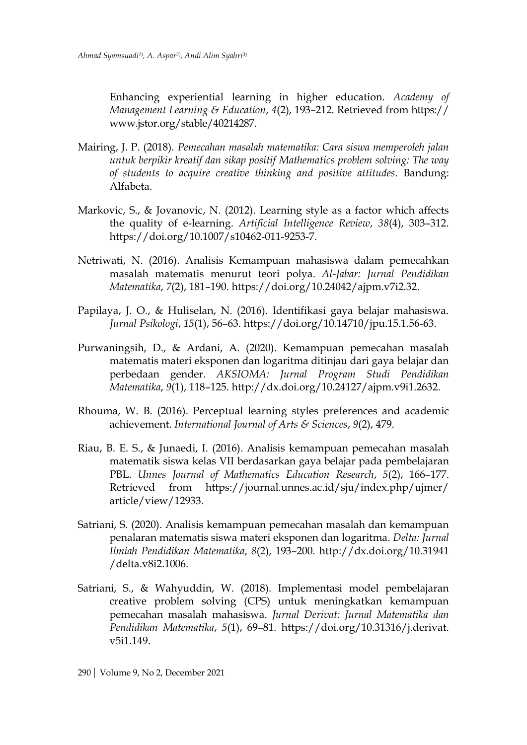Enhancing experiential learning in higher education. *Academy of Management Learning & Education*, *4*(2), 193–212. Retrieved from https:// www.jstor.org/stable/40214287.

- Mairing, J. P. (2018). *Pemecahan masalah matematika: Cara siswa memperoleh jalan untuk berpikir kreatif dan sikap positif Mathematics problem solving: The way of students to acquire creative thinking and positive attitudes*. Bandung: Alfabeta.
- Markovic, S., & Jovanovic, N. (2012). Learning style as a factor which affects the quality of e-learning. *Artificial Intelligence Review*, *38*(4), 303–312. https://doi.org/10.1007/s10462-011-9253-7.
- Netriwati, N. (2016). Analisis Kemampuan mahasiswa dalam pemecahkan masalah matematis menurut teori polya. *Al-Jabar: Jurnal Pendidikan Matematika*, *7*(2), 181–190. https://doi.org/10.24042/ajpm.v7i2.32.
- Papilaya, J. O., & Huliselan, N. (2016). Identifikasi gaya belajar mahasiswa. *Jurnal Psikologi*, *15*(1), 56–63. https://doi.org/10.14710/jpu.15.1.56-63.
- Purwaningsih, D., & Ardani, A. (2020). Kemampuan pemecahan masalah matematis materi eksponen dan logaritma ditinjau dari gaya belajar dan perbedaan gender. *AKSIOMA: Jurnal Program Studi Pendidikan Matematika*, *9*(1), 118–125. http://dx.doi.org/10.24127/ajpm.v9i1.2632.
- Rhouma, W. B. (2016). Perceptual learning styles preferences and academic achievement. *International Journal of Arts & Sciences*, *9*(2), 479.
- Riau, B. E. S., & Junaedi, I. (2016). Analisis kemampuan pemecahan masalah matematik siswa kelas VII berdasarkan gaya belajar pada pembelajaran PBL. *Unnes Journal of Mathematics Education Research*, *5*(2), 166–177. Retrieved from https://journal.unnes.ac.id/sju/index.php/ujmer/ article/view/12933.
- Satriani, S. (2020). Analisis kemampuan pemecahan masalah dan kemampuan penalaran matematis siswa materi eksponen dan logaritma. *Delta: Jurnal Ilmiah Pendidikan Matematika*, *8*(2), 193–200. http://dx.doi.org/10.31941 /delta.v8i2.1006.
- Satriani, S., & Wahyuddin, W. (2018). Implementasi model pembelajaran creative problem solving (CPS) untuk meningkatkan kemampuan pemecahan masalah mahasiswa. *Jurnal Derivat: Jurnal Matematika dan Pendidikan Matematika*, *5*(1), 69–81. https://doi.org/10.31316/j.derivat. v5i1.149.